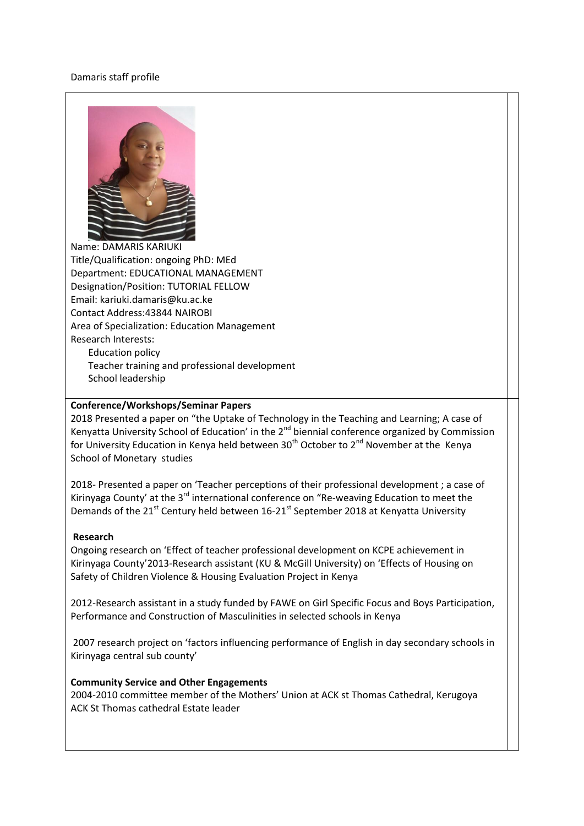## Damaris staff profile



Name: DAMARIS KARIUKI Title/Qualification: ongoing PhD: MEd Department: EDUCATIONAL MANAGEMENT Designation/Position: TUTORIAL FELLOW Email: kariuki.damaris@ku.ac.ke Contact Address:43844 NAIROBI Area of Specialization: Education Management Research Interests: Education policy Teacher training and professional development School leadership

## **Conference/Workshops/Seminar Papers**

2018 Presented a paper on "the Uptake of Technology in the Teaching and Learning; A case of Kenyatta University School of Education' in the 2<sup>nd</sup> biennial conference organized by Commission for University Education in Kenya held between  $30<sup>th</sup>$  October to  $2<sup>nd</sup>$  November at the Kenya School of Monetary studies

2018- Presented a paper on 'Teacher perceptions of their professional development ; a case of Kirinyaga County' at the  $3^{rd}$  international conference on "Re-weaving Education to meet the Demands of the  $21^{st}$  Century held between 16-21 $^{st}$  September 2018 at Kenyatta University

## **Research**

Ongoing research on 'Effect of teacher professional development on KCPE achievement in Kirinyaga County'2013-Research assistant (KU & McGill University) on 'Effects of Housing on Safety of Children Violence & Housing Evaluation Project in Kenya

2012-Research assistant in a study funded by FAWE on Girl Specific Focus and Boys Participation, Performance and Construction of Masculinities in selected schools in Kenya

2007 research project on 'factors influencing performance of English in day secondary schools in Kirinyaga central sub county'

## **Community Service and Other Engagements**

2004-2010 committee member of the Mothers' Union at ACK st Thomas Cathedral, Kerugoya ACK St Thomas cathedral Estate leader